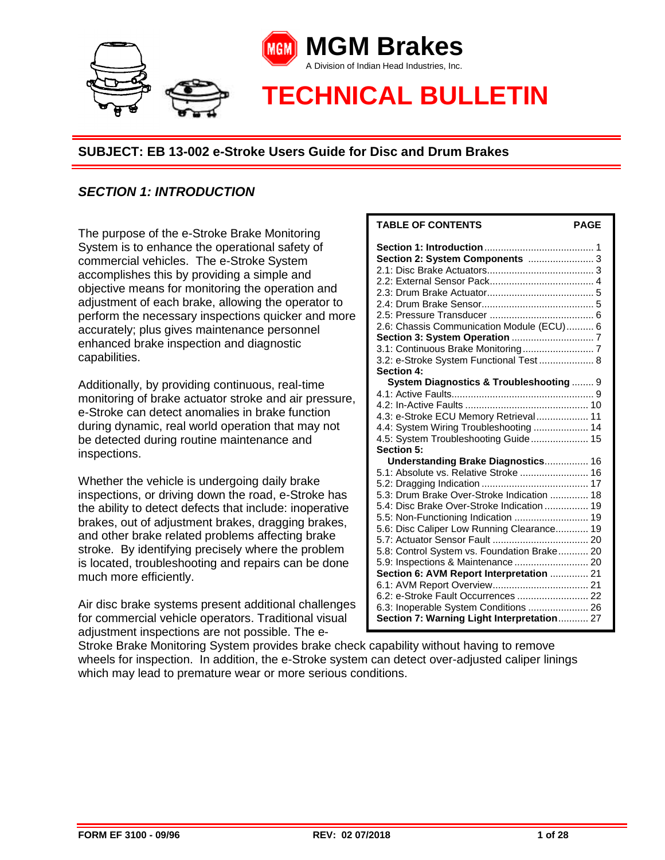

# *SECTION 1: INTRODUCTION*

The purpose of the e-Stroke Brake Monitoring System is to enhance the operational safety of commercial vehicles. The e-Stroke System accomplishes this by providing a simple and objective means for monitoring the operation and adjustment of each brake, allowing the operator to perform the necessary inspections quicker and more accurately; plus gives maintenance personnel enhanced brake inspection and diagnostic capabilities.

Additionally, by providing continuous, real-time monitoring of brake actuator stroke and air pressure, e-Stroke can detect anomalies in brake function during dynamic, real world operation that may not be detected during routine maintenance and inspections.

Whether the vehicle is undergoing daily brake inspections, or driving down the road, e-Stroke has the ability to detect defects that include: inoperative brakes, out of adjustment brakes, dragging brakes, and other brake related problems affecting brake stroke. By identifying precisely where the problem is located, troubleshooting and repairs can be done much more efficiently.

Air disc brake systems present additional challenges for commercial vehicle operators. Traditional visual adjustment inspections are not possible. The e-

| I ADLE UF GUNTENTS<br><b>AUC</b>            |
|---------------------------------------------|
|                                             |
| Section 2: System Components  3             |
|                                             |
|                                             |
|                                             |
|                                             |
|                                             |
| 2.6: Chassis Communication Module (ECU) 6   |
|                                             |
|                                             |
| 3.2: e-Stroke System Functional Test  8     |
| <b>Section 4:</b>                           |
| System Diagnostics & Troubleshooting  9     |
|                                             |
|                                             |
| 4.3: e-Stroke ECU Memory Retrieval 11       |
| 4.4: System Wiring Troubleshooting  14      |
| 4.5: System Troubleshooting Guide 15        |
| Section 5:                                  |
| Understanding Brake Diagnostics 16          |
| 5.1: Absolute vs. Relative Stroke  16       |
|                                             |
| 5.3: Drum Brake Over-Stroke Indication  18  |
| 5.4: Disc Brake Over-Stroke Indication  19  |
| 5.5: Non-Functioning Indication  19         |
| 5.6: Disc Caliper Low Running Clearance 19  |
|                                             |
| 5.8: Control System vs. Foundation Brake 20 |
| 5.9: Inspections & Maintenance  20          |
| Section 6: AVM Report Interpretation  21    |
|                                             |
| 6.2: e-Stroke Fault Occurrences  22         |
| 6.3: Inoperable System Conditions  26       |
| Section 7: Warning Light Interpretation 27  |

**TABLE OF CONTENTS PAGE**

Stroke Brake Monitoring System provides brake check capability without having to remove wheels for inspection. In addition, the e-Stroke system can detect over-adjusted caliper linings which may lead to premature wear or more serious conditions.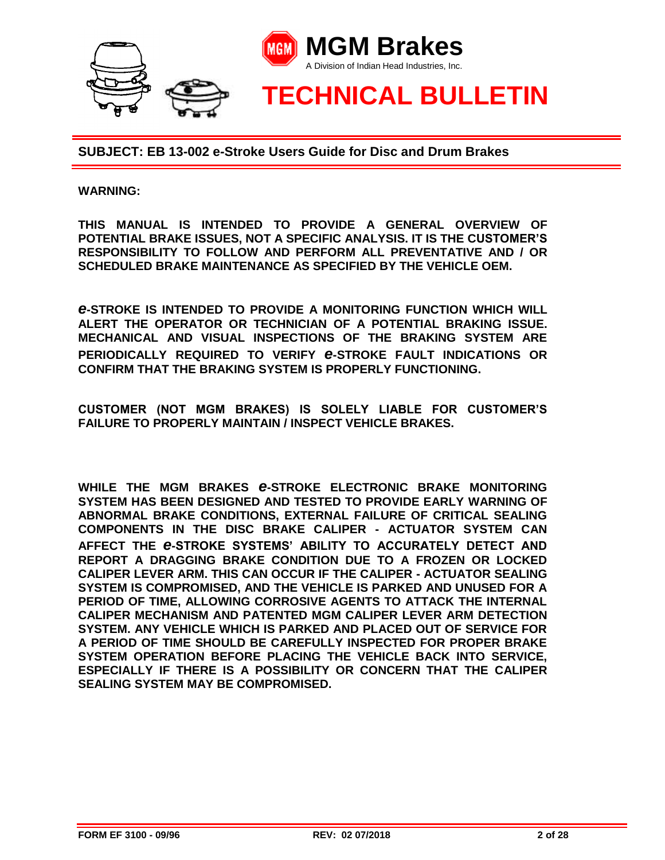

#### **WARNING:**

**THIS MANUAL IS INTENDED TO PROVIDE A GENERAL OVERVIEW OF POTENTIAL BRAKE ISSUES, NOT A SPECIFIC ANALYSIS. IT IS THE CUSTOMER'S RESPONSIBILITY TO FOLLOW AND PERFORM ALL PREVENTATIVE AND / OR SCHEDULED BRAKE MAINTENANCE AS SPECIFIED BY THE VEHICLE OEM.**

*e***-STROKE IS INTENDED TO PROVIDE A MONITORING FUNCTION WHICH WILL ALERT THE OPERATOR OR TECHNICIAN OF A POTENTIAL BRAKING ISSUE. MECHANICAL AND VISUAL INSPECTIONS OF THE BRAKING SYSTEM ARE PERIODICALLY REQUIRED TO VERIFY** *e***-STROKE FAULT INDICATIONS OR CONFIRM THAT THE BRAKING SYSTEM IS PROPERLY FUNCTIONING.** 

**CUSTOMER (NOT MGM BRAKES) IS SOLELY LIABLE FOR CUSTOMER'S FAILURE TO PROPERLY MAINTAIN / INSPECT VEHICLE BRAKES.** 

**WHILE THE MGM BRAKES** *e***-STROKE ELECTRONIC BRAKE MONITORING SYSTEM HAS BEEN DESIGNED AND TESTED TO PROVIDE EARLY WARNING OF ABNORMAL BRAKE CONDITIONS, EXTERNAL FAILURE OF CRITICAL SEALING COMPONENTS IN THE DISC BRAKE CALIPER - ACTUATOR SYSTEM CAN AFFECT THE** *e***-STROKE SYSTEMS' ABILITY TO ACCURATELY DETECT AND REPORT A DRAGGING BRAKE CONDITION DUE TO A FROZEN OR LOCKED CALIPER LEVER ARM. THIS CAN OCCUR IF THE CALIPER - ACTUATOR SEALING SYSTEM IS COMPROMISED, AND THE VEHICLE IS PARKED AND UNUSED FOR A PERIOD OF TIME, ALLOWING CORROSIVE AGENTS TO ATTACK THE INTERNAL CALIPER MECHANISM AND PATENTED MGM CALIPER LEVER ARM DETECTION SYSTEM. ANY VEHICLE WHICH IS PARKED AND PLACED OUT OF SERVICE FOR A PERIOD OF TIME SHOULD BE CAREFULLY INSPECTED FOR PROPER BRAKE SYSTEM OPERATION BEFORE PLACING THE VEHICLE BACK INTO SERVICE, ESPECIALLY IF THERE IS A POSSIBILITY OR CONCERN THAT THE CALIPER SEALING SYSTEM MAY BE COMPROMISED.**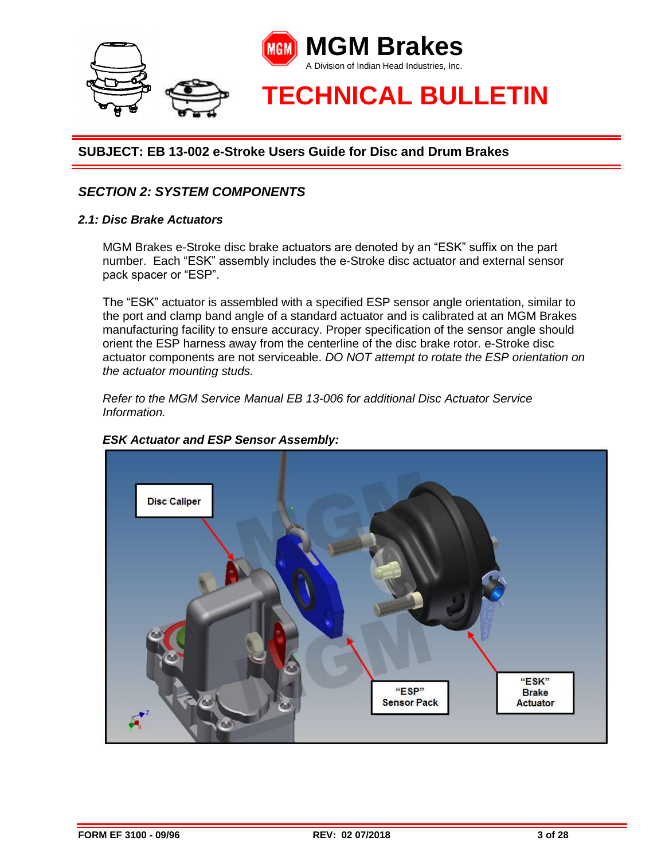

# *SECTION 2: SYSTEM COMPONENTS*

#### *2.1: Disc Brake Actuators*

MGM Brakes e-Stroke disc brake actuators are denoted by an "ESK" suffix on the part number. Each "ESK" assembly includes the e-Stroke disc actuator and external sensor pack spacer or "ESP".

The "ESK" actuator is assembled with a specified ESP sensor angle orientation, similar to the port and clamp band angle of a standard actuator and is calibrated at an MGM Brakes manufacturing facility to ensure accuracy. Proper specification of the sensor angle should orient the ESP harness away from the centerline of the disc brake rotor. e-Stroke disc actuator components are not serviceable. *DO NOT attempt to rotate the ESP orientation on the actuator mounting studs.*

*Refer to the MGM Service Manual EB 13-006 for additional Disc Actuator Service Information.* 



#### *ESK Actuator and ESP Sensor Assembly:*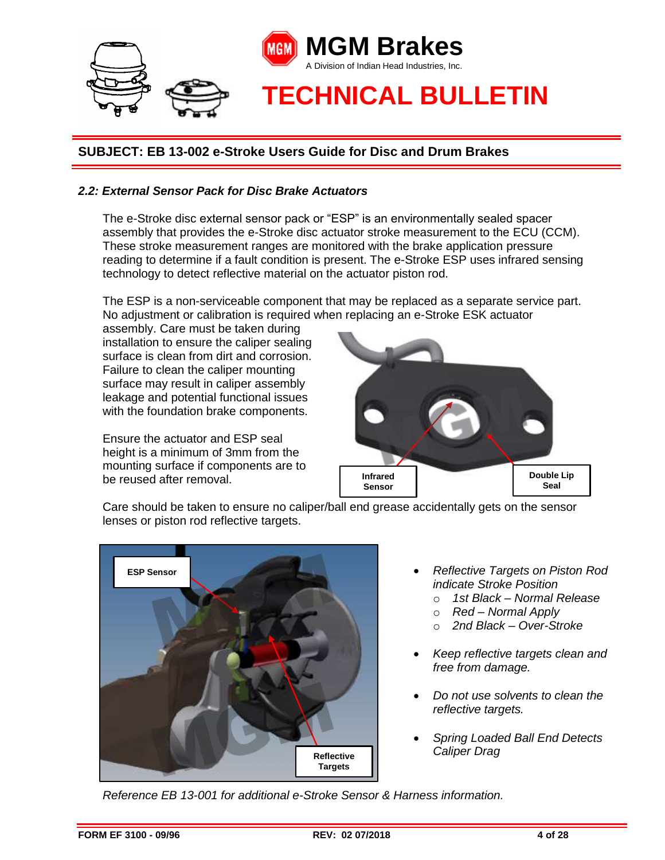

#### *2.2: External Sensor Pack for Disc Brake Actuators*

The e-Stroke disc external sensor pack or "ESP" is an environmentally sealed spacer assembly that provides the e-Stroke disc actuator stroke measurement to the ECU (CCM). These stroke measurement ranges are monitored with the brake application pressure reading to determine if a fault condition is present. The e-Stroke ESP uses infrared sensing technology to detect reflective material on the actuator piston rod.

The ESP is a non-serviceable component that may be replaced as a separate service part. No adjustment or calibration is required when replacing an e-Stroke ESK actuator

assembly. Care must be taken during installation to ensure the caliper sealing surface is clean from dirt and corrosion. Failure to clean the caliper mounting surface may result in caliper assembly leakage and potential functional issues with the foundation brake components.

Ensure the actuator and ESP seal height is a minimum of 3mm from the mounting surface if components are to be reused after removal.



Care should be taken to ensure no caliper/ball end grease accidentally gets on the sensor lenses or piston rod reflective targets.



- *Reflective Targets on Piston Rod indicate Stroke Position*
	- o *1st Black – Normal Release*
	- o *Red – Normal Apply*
	- o *2nd Black – Over-Stroke*
- *Keep reflective targets clean and free from damage.*
- *Do not use solvents to clean the reflective targets.*
- *Spring Loaded Ball End Detects Caliper Drag*

*Reference EB 13-001 for additional e-Stroke Sensor & Harness information.*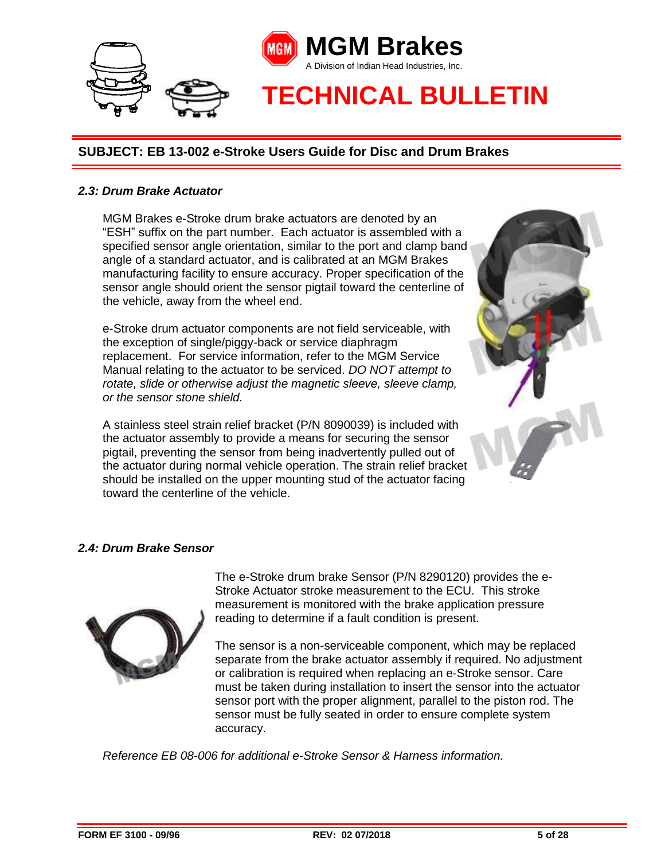

#### *2.3: Drum Brake Actuator*

MGM Brakes e-Stroke drum brake actuators are denoted by an "ESH" suffix on the part number. Each actuator is assembled with a specified sensor angle orientation, similar to the port and clamp band angle of a standard actuator, and is calibrated at an MGM Brakes manufacturing facility to ensure accuracy. Proper specification of the sensor angle should orient the sensor pigtail toward the centerline of the vehicle, away from the wheel end.

e-Stroke drum actuator components are not field serviceable, with the exception of single/piggy-back or service diaphragm replacement. For service information, refer to the MGM Service Manual relating to the actuator to be serviced. *DO NOT attempt to rotate, slide or otherwise adjust the magnetic sleeve, sleeve clamp, or the sensor stone shield.* 

A stainless steel strain relief bracket (P/N 8090039) is included with the actuator assembly to provide a means for securing the sensor pigtail, preventing the sensor from being inadvertently pulled out of the actuator during normal vehicle operation. The strain relief bracket should be installed on the upper mounting stud of the actuator facing toward the centerline of the vehicle.



#### *2.4: Drum Brake Sensor*



The e-Stroke drum brake Sensor (P/N 8290120) provides the e-Stroke Actuator stroke measurement to the ECU. This stroke measurement is monitored with the brake application pressure reading to determine if a fault condition is present.

The sensor is a non-serviceable component, which may be replaced separate from the brake actuator assembly if required. No adjustment or calibration is required when replacing an e-Stroke sensor. Care must be taken during installation to insert the sensor into the actuator sensor port with the proper alignment, parallel to the piston rod. The sensor must be fully seated in order to ensure complete system accuracy.

*Reference EB 08-006 for additional e-Stroke Sensor & Harness information.*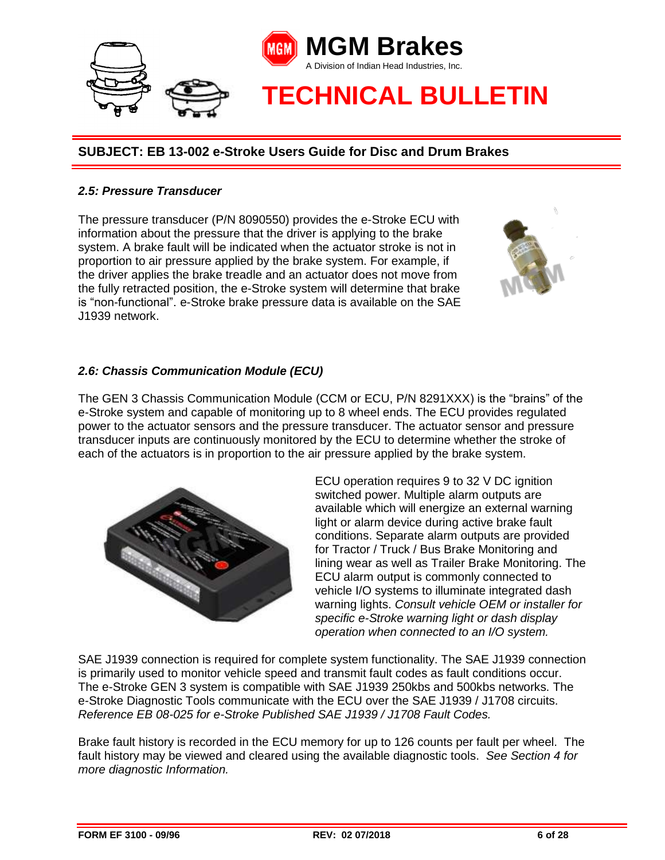

#### *2.5: Pressure Transducer*

The pressure transducer (P/N 8090550) provides the e-Stroke ECU with information about the pressure that the driver is applying to the brake system. A brake fault will be indicated when the actuator stroke is not in proportion to air pressure applied by the brake system. For example, if the driver applies the brake treadle and an actuator does not move from the fully retracted position, the e-Stroke system will determine that brake is "non-functional". e-Stroke brake pressure data is available on the SAE J1939 network.

#### *2.6: Chassis Communication Module (ECU)*

The GEN 3 Chassis Communication Module (CCM or ECU, P/N 8291XXX) is the "brains" of the e-Stroke system and capable of monitoring up to 8 wheel ends. The ECU provides regulated power to the actuator sensors and the pressure transducer. The actuator sensor and pressure transducer inputs are continuously monitored by the ECU to determine whether the stroke of each of the actuators is in proportion to the air pressure applied by the brake system.



ECU operation requires 9 to 32 V DC ignition switched power. Multiple alarm outputs are available which will energize an external warning light or alarm device during active brake fault conditions. Separate alarm outputs are provided for Tractor / Truck / Bus Brake Monitoring and lining wear as well as Trailer Brake Monitoring. The ECU alarm output is commonly connected to vehicle I/O systems to illuminate integrated dash warning lights. *Consult vehicle OEM or installer for specific e-Stroke warning light or dash display operation when connected to an I/O system.*

SAE J1939 connection is required for complete system functionality. The SAE J1939 connection is primarily used to monitor vehicle speed and transmit fault codes as fault conditions occur. The e-Stroke GEN 3 system is compatible with SAE J1939 250kbs and 500kbs networks. The e-Stroke Diagnostic Tools communicate with the ECU over the SAE J1939 / J1708 circuits. *Reference EB 08-025 for e-Stroke Published SAE J1939 / J1708 Fault Codes.*

Brake fault history is recorded in the ECU memory for up to 126 counts per fault per wheel. The fault history may be viewed and cleared using the available diagnostic tools. *See Section 4 for more diagnostic Information.*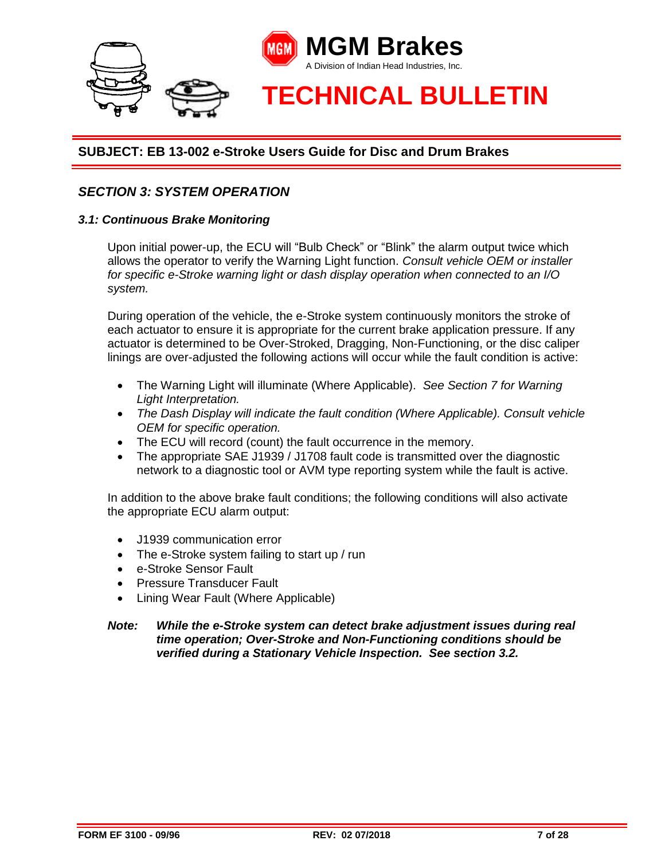

# *SECTION 3: SYSTEM OPERATION*

#### *3.1: Continuous Brake Monitoring*

Upon initial power-up, the ECU will "Bulb Check" or "Blink" the alarm output twice which allows the operator to verify the Warning Light function. *Consult vehicle OEM or installer for specific e-Stroke warning light or dash display operation when connected to an I/O system.*

During operation of the vehicle, the e-Stroke system continuously monitors the stroke of each actuator to ensure it is appropriate for the current brake application pressure. If any actuator is determined to be Over-Stroked, Dragging, Non-Functioning, or the disc caliper linings are over-adjusted the following actions will occur while the fault condition is active:

- The Warning Light will illuminate (Where Applicable). *See Section 7 for Warning Light Interpretation.*
- *The Dash Display will indicate the fault condition (Where Applicable). Consult vehicle OEM for specific operation.*
- The ECU will record (count) the fault occurrence in the memory.
- The appropriate SAE J1939 / J1708 fault code is transmitted over the diagnostic network to a diagnostic tool or AVM type reporting system while the fault is active.

In addition to the above brake fault conditions; the following conditions will also activate the appropriate ECU alarm output:

- J1939 communication error
- The e-Stroke system failing to start up / run
- e-Stroke Sensor Fault
- Pressure Transducer Fault
- Lining Wear Fault (Where Applicable)

#### *Note: While the e-Stroke system can detect brake adjustment issues during real time operation; Over-Stroke and Non-Functioning conditions should be verified during a Stationary Vehicle Inspection. See section 3.2.*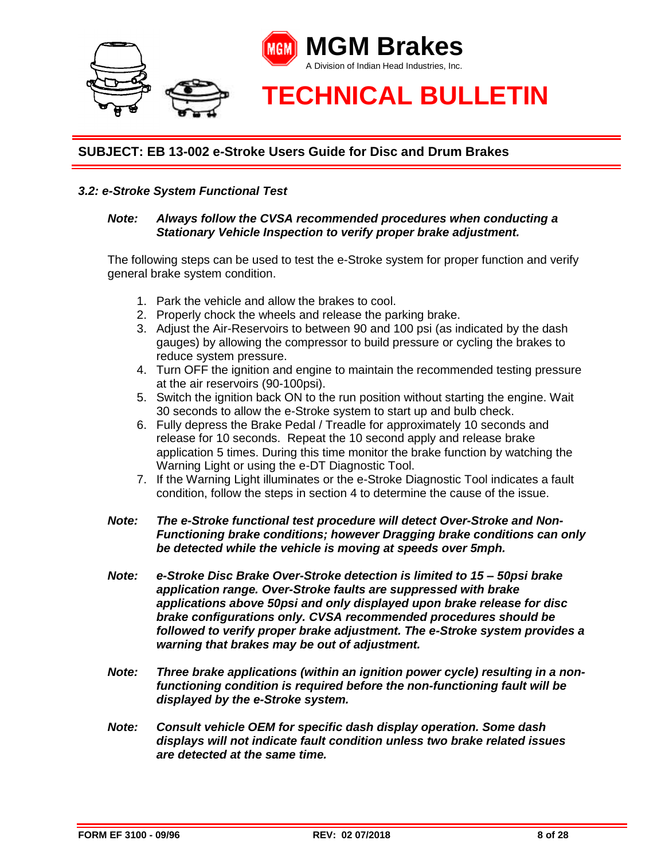

#### *3.2: e-Stroke System Functional Test*

#### *Note: Always follow the CVSA recommended procedures when conducting a Stationary Vehicle Inspection to verify proper brake adjustment.*

The following steps can be used to test the e-Stroke system for proper function and verify general brake system condition.

- 1. Park the vehicle and allow the brakes to cool.
- 2. Properly chock the wheels and release the parking brake.
- 3. Adjust the Air-Reservoirs to between 90 and 100 psi (as indicated by the dash gauges) by allowing the compressor to build pressure or cycling the brakes to reduce system pressure.
- 4. Turn OFF the ignition and engine to maintain the recommended testing pressure at the air reservoirs (90-100psi).
- 5. Switch the ignition back ON to the run position without starting the engine. Wait 30 seconds to allow the e-Stroke system to start up and bulb check.
- 6. Fully depress the Brake Pedal / Treadle for approximately 10 seconds and release for 10 seconds. Repeat the 10 second apply and release brake application 5 times. During this time monitor the brake function by watching the Warning Light or using the e-DT Diagnostic Tool.
- 7. If the Warning Light illuminates or the e-Stroke Diagnostic Tool indicates a fault condition, follow the steps in section 4 to determine the cause of the issue.
- *Note: The e-Stroke functional test procedure will detect Over-Stroke and Non-Functioning brake conditions; however Dragging brake conditions can only be detected while the vehicle is moving at speeds over 5mph.*
- *Note: e-Stroke Disc Brake Over-Stroke detection is limited to 15 – 50psi brake application range. Over-Stroke faults are suppressed with brake applications above 50psi and only displayed upon brake release for disc brake configurations only. CVSA recommended procedures should be followed to verify proper brake adjustment. The e-Stroke system provides a warning that brakes may be out of adjustment.*
- *Note: Three brake applications (within an ignition power cycle) resulting in a nonfunctioning condition is required before the non-functioning fault will be displayed by the e-Stroke system.*
- *Note: Consult vehicle OEM for specific dash display operation. Some dash displays will not indicate fault condition unless two brake related issues are detected at the same time.*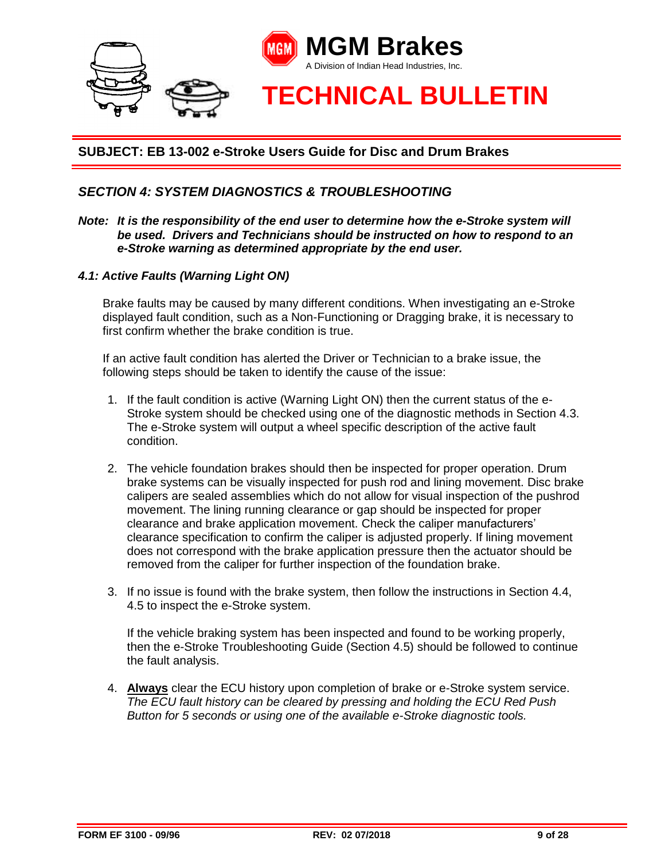

## *SECTION 4: SYSTEM DIAGNOSTICS & TROUBLESHOOTING*

- *Note: It is the responsibility of the end user to determine how the e-Stroke system will be used. Drivers and Technicians should be instructed on how to respond to an e-Stroke warning as determined appropriate by the end user.*
- *4.1: Active Faults (Warning Light ON)*

Brake faults may be caused by many different conditions. When investigating an e-Stroke displayed fault condition, such as a Non-Functioning or Dragging brake, it is necessary to first confirm whether the brake condition is true.

If an active fault condition has alerted the Driver or Technician to a brake issue, the following steps should be taken to identify the cause of the issue:

- 1. If the fault condition is active (Warning Light ON) then the current status of the e-Stroke system should be checked using one of the diagnostic methods in Section 4.3. The e-Stroke system will output a wheel specific description of the active fault condition.
- 2. The vehicle foundation brakes should then be inspected for proper operation. Drum brake systems can be visually inspected for push rod and lining movement. Disc brake calipers are sealed assemblies which do not allow for visual inspection of the pushrod movement. The lining running clearance or gap should be inspected for proper clearance and brake application movement. Check the caliper manufacturers' clearance specification to confirm the caliper is adjusted properly. If lining movement does not correspond with the brake application pressure then the actuator should be removed from the caliper for further inspection of the foundation brake.
- 3. If no issue is found with the brake system, then follow the instructions in Section 4.4, 4.5 to inspect the e-Stroke system.

If the vehicle braking system has been inspected and found to be working properly, then the e-Stroke Troubleshooting Guide (Section 4.5) should be followed to continue the fault analysis.

4. **Always** clear the ECU history upon completion of brake or e-Stroke system service. *The ECU fault history can be cleared by pressing and holding the ECU Red Push Button for 5 seconds or using one of the available e-Stroke diagnostic tools.*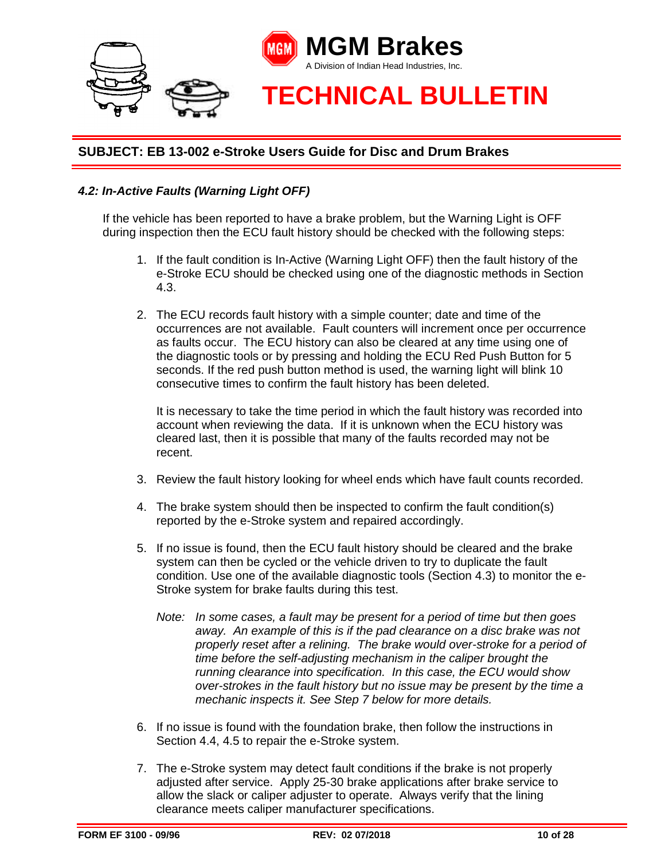

# *4.2: In-Active Faults (Warning Light OFF)*

If the vehicle has been reported to have a brake problem, but the Warning Light is OFF during inspection then the ECU fault history should be checked with the following steps:

- 1. If the fault condition is In-Active (Warning Light OFF) then the fault history of the e-Stroke ECU should be checked using one of the diagnostic methods in Section 4.3.
- 2. The ECU records fault history with a simple counter; date and time of the occurrences are not available. Fault counters will increment once per occurrence as faults occur. The ECU history can also be cleared at any time using one of the diagnostic tools or by pressing and holding the ECU Red Push Button for 5 seconds. If the red push button method is used, the warning light will blink 10 consecutive times to confirm the fault history has been deleted.

It is necessary to take the time period in which the fault history was recorded into account when reviewing the data. If it is unknown when the ECU history was cleared last, then it is possible that many of the faults recorded may not be recent.

- 3. Review the fault history looking for wheel ends which have fault counts recorded.
- 4. The brake system should then be inspected to confirm the fault condition(s) reported by the e-Stroke system and repaired accordingly.
- 5. If no issue is found, then the ECU fault history should be cleared and the brake system can then be cycled or the vehicle driven to try to duplicate the fault condition. Use one of the available diagnostic tools (Section 4.3) to monitor the e-Stroke system for brake faults during this test.
	- *Note: In some cases, a fault may be present for a period of time but then goes away. An example of this is if the pad clearance on a disc brake was not properly reset after a relining. The brake would over-stroke for a period of time before the self-adjusting mechanism in the caliper brought the running clearance into specification. In this case, the ECU would show over-strokes in the fault history but no issue may be present by the time a mechanic inspects it. See Step 7 below for more details.*
- 6. If no issue is found with the foundation brake, then follow the instructions in Section 4.4, 4.5 to repair the e-Stroke system.
- 7. The e-Stroke system may detect fault conditions if the brake is not properly adjusted after service. Apply 25-30 brake applications after brake service to allow the slack or caliper adjuster to operate. Always verify that the lining clearance meets caliper manufacturer specifications.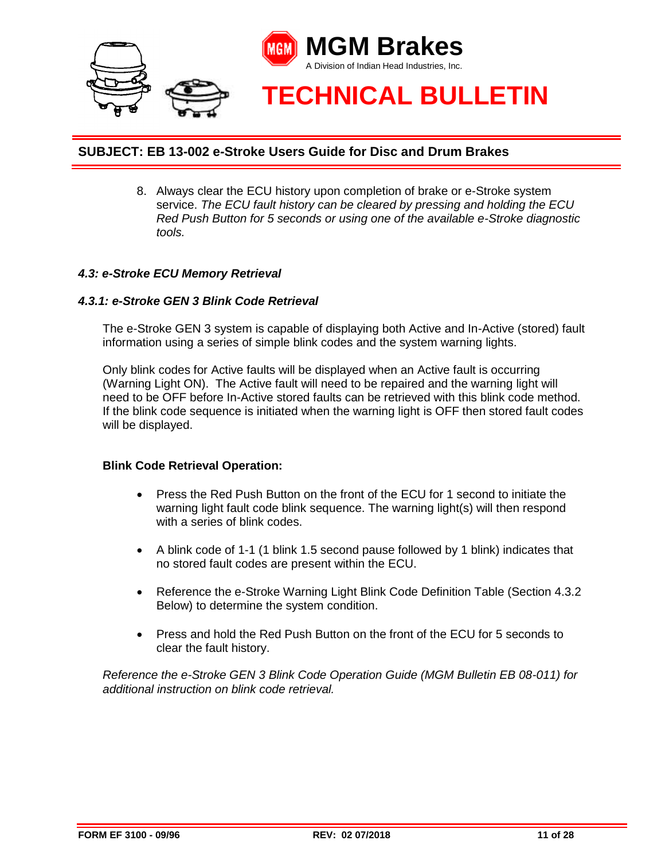

8. Always clear the ECU history upon completion of brake or e-Stroke system service. *The ECU fault history can be cleared by pressing and holding the ECU Red Push Button for 5 seconds or using one of the available e-Stroke diagnostic tools.*

#### *4.3: e-Stroke ECU Memory Retrieval*

#### *4.3.1: e-Stroke GEN 3 Blink Code Retrieval*

The e-Stroke GEN 3 system is capable of displaying both Active and In-Active (stored) fault information using a series of simple blink codes and the system warning lights.

Only blink codes for Active faults will be displayed when an Active fault is occurring (Warning Light ON). The Active fault will need to be repaired and the warning light will need to be OFF before In-Active stored faults can be retrieved with this blink code method. If the blink code sequence is initiated when the warning light is OFF then stored fault codes will be displayed.

#### **Blink Code Retrieval Operation:**

- Press the Red Push Button on the front of the ECU for 1 second to initiate the warning light fault code blink sequence. The warning light(s) will then respond with a series of blink codes.
- A blink code of 1-1 (1 blink 1.5 second pause followed by 1 blink) indicates that no stored fault codes are present within the ECU.
- Reference the e-Stroke Warning Light Blink Code Definition Table (Section 4.3.2) Below) to determine the system condition.
- Press and hold the Red Push Button on the front of the ECU for 5 seconds to clear the fault history.

*Reference the e-Stroke GEN 3 Blink Code Operation Guide (MGM Bulletin EB 08-011) for additional instruction on blink code retrieval.*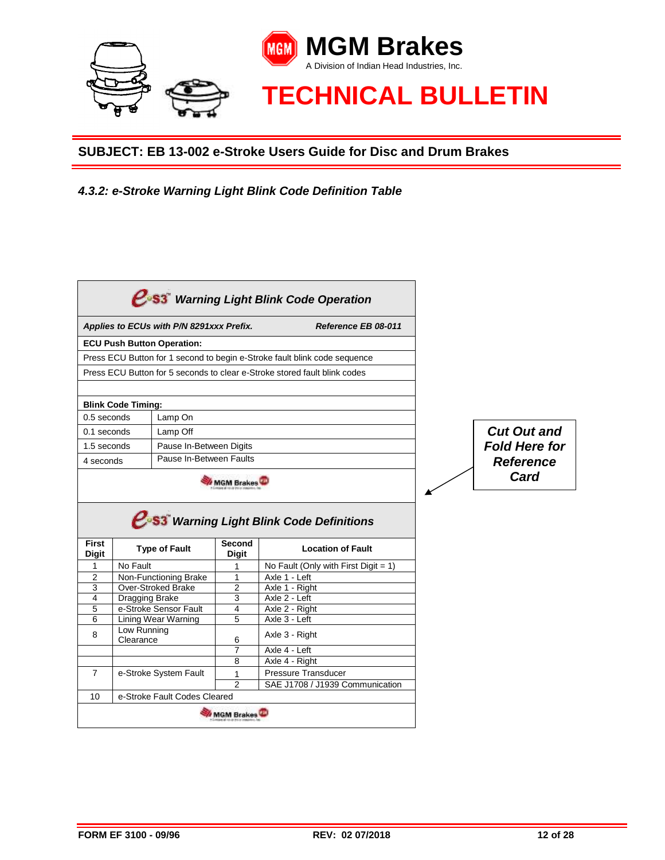

*4.3.2: e-Stroke Warning Light Blink Code Definition Table*

|                |                                   | Applies to ECUs with P/N 8291xxx Prefix. |                     | Reference EB 08-011                                                                |                      |
|----------------|-----------------------------------|------------------------------------------|---------------------|------------------------------------------------------------------------------------|----------------------|
|                | <b>ECU Push Button Operation:</b> |                                          |                     |                                                                                    |                      |
|                |                                   |                                          |                     | Press ECU Button for 1 second to begin e-Stroke fault blink code sequence          |                      |
|                |                                   |                                          |                     | Press ECU Button for 5 seconds to clear e-Stroke stored fault blink codes          |                      |
|                |                                   |                                          |                     |                                                                                    |                      |
|                | <b>Blink Code Timing:</b>         |                                          |                     |                                                                                    |                      |
| 0.5 seconds    |                                   | Lamp On                                  |                     |                                                                                    |                      |
| $0.1$ seconds  |                                   | Lamp Off                                 |                     |                                                                                    | <b>Cut Out and</b>   |
| 1.5 seconds    |                                   | Pause In-Between Digits                  |                     |                                                                                    | <b>Fold Here for</b> |
| 4 seconds      |                                   | Pause In-Between Faults                  |                     |                                                                                    | <b>Reference</b>     |
|                |                                   |                                          |                     |                                                                                    | Card                 |
|                |                                   |                                          | <b>MGM Brakes</b>   |                                                                                    |                      |
| <b>First</b>   |                                   | <b>Type of Fault</b>                     | Second              | $e$ <sup>s3</sup> Warning Light Blink Code Definitions<br><b>Location of Fault</b> |                      |
| <b>Digit</b>   |                                   |                                          | <b>Digit</b>        |                                                                                    |                      |
| $\mathbf{1}$   | No Fault                          |                                          | 1                   | No Fault (Only with First Digit = 1)                                               |                      |
| 2              |                                   | Non-Functioning Brake                    | $\mathbf{1}$        | Axle 1 - Left                                                                      |                      |
| 3<br>4         | <b>Over-Stroked Brake</b>         |                                          | $\overline{2}$<br>3 | Axle 1 - Right<br>Axle 2 - Left                                                    |                      |
| 5              | Dragging Brake                    | e-Stroke Sensor Fault                    | 4                   | Axle 2 - Right                                                                     |                      |
| 6              | Lining Wear Warning               |                                          | 5                   | Axle 3 - Left                                                                      |                      |
| 8              | Low Running<br>Clearance          |                                          | 6                   | Axle 3 - Right                                                                     |                      |
|                |                                   |                                          | 7                   | Axle 4 - Left                                                                      |                      |
|                |                                   |                                          | 8                   | Axle 4 - Right                                                                     |                      |
| $\overline{7}$ |                                   | e-Stroke System Fault                    | 1                   | Pressure Transducer                                                                |                      |
|                |                                   | e-Stroke Fault Codes Cleared             | $\mathfrak{p}$      | SAE J1708 / J1939 Communication                                                    |                      |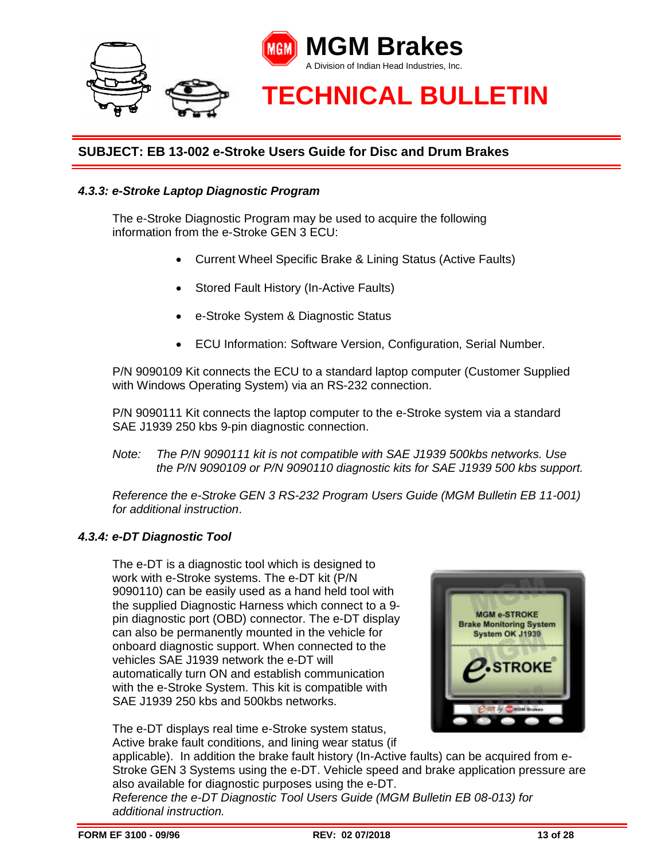

#### *4.3.3: e-Stroke Laptop Diagnostic Program*

The e-Stroke Diagnostic Program may be used to acquire the following information from the e-Stroke GEN 3 ECU:

- Current Wheel Specific Brake & Lining Status (Active Faults)
- Stored Fault History (In-Active Faults)
- e-Stroke System & Diagnostic Status
- ECU Information: Software Version, Configuration, Serial Number.

P/N 9090109 Kit connects the ECU to a standard laptop computer (Customer Supplied with Windows Operating System) via an RS-232 connection.

P/N 9090111 Kit connects the laptop computer to the e-Stroke system via a standard SAE J1939 250 kbs 9-pin diagnostic connection.

*Note: The P/N 9090111 kit is not compatible with SAE J1939 500kbs networks. Use the P/N 9090109 or P/N 9090110 diagnostic kits for SAE J1939 500 kbs support.* 

*Reference the e-Stroke GEN 3 RS-232 Program Users Guide (MGM Bulletin EB 11-001) for additional instruction*.

#### *4.3.4: e-DT Diagnostic Tool*

The e-DT is a diagnostic tool which is designed to work with e-Stroke systems. The e-DT kit (P/N 9090110) can be easily used as a hand held tool with the supplied Diagnostic Harness which connect to a 9 pin diagnostic port (OBD) connector. The e-DT display can also be permanently mounted in the vehicle for onboard diagnostic support. When connected to the vehicles SAE J1939 network the e-DT will automatically turn ON and establish communication with the e-Stroke System. This kit is compatible with SAE J1939 250 kbs and 500kbs networks.

The e-DT displays real time e-Stroke system status, Active brake fault conditions, and lining wear status (if



applicable). In addition the brake fault history (In-Active faults) can be acquired from e-Stroke GEN 3 Systems using the e-DT. Vehicle speed and brake application pressure are also available for diagnostic purposes using the e-DT.

*Reference the e-DT Diagnostic Tool Users Guide (MGM Bulletin EB 08-013) for additional instruction.*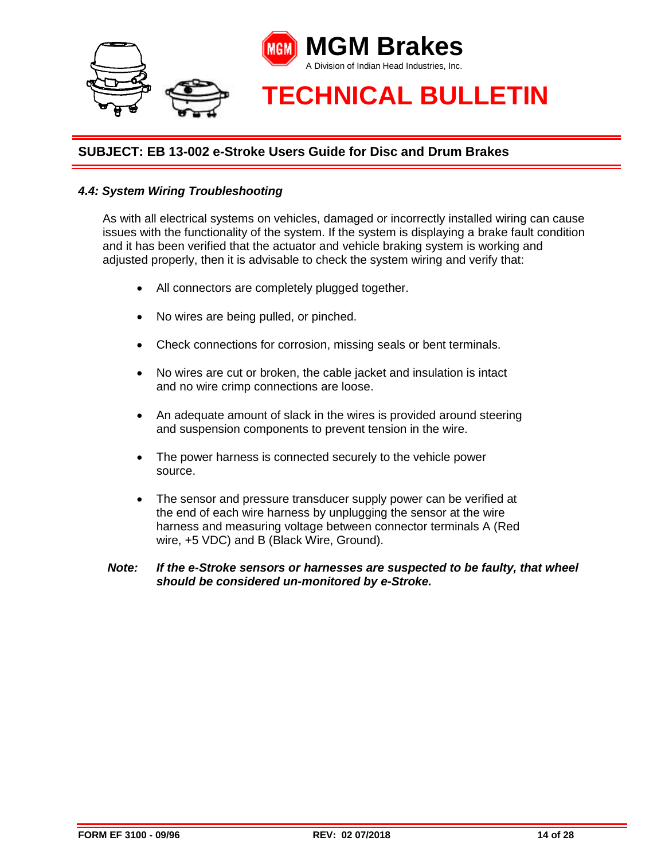

#### *4.4: System Wiring Troubleshooting*

As with all electrical systems on vehicles, damaged or incorrectly installed wiring can cause issues with the functionality of the system. If the system is displaying a brake fault condition and it has been verified that the actuator and vehicle braking system is working and adjusted properly, then it is advisable to check the system wiring and verify that:

- All connectors are completely plugged together.
- No wires are being pulled, or pinched.
- Check connections for corrosion, missing seals or bent terminals.
- No wires are cut or broken, the cable jacket and insulation is intact and no wire crimp connections are loose.
- An adequate amount of slack in the wires is provided around steering and suspension components to prevent tension in the wire.
- The power harness is connected securely to the vehicle power source.
- The sensor and pressure transducer supply power can be verified at the end of each wire harness by unplugging the sensor at the wire harness and measuring voltage between connector terminals A (Red wire, +5 VDC) and B (Black Wire, Ground).

#### *Note: If the e-Stroke sensors or harnesses are suspected to be faulty, that wheel should be considered un-monitored by e-Stroke.*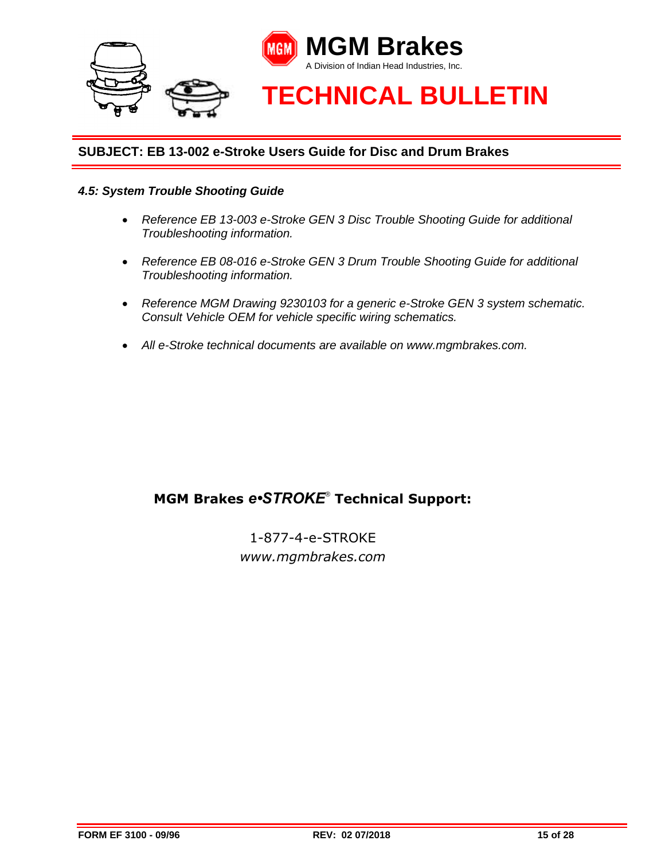

#### *4.5: System Trouble Shooting Guide*

- *Reference EB 13-003 e-Stroke GEN 3 Disc Trouble Shooting Guide for additional Troubleshooting information.*
- *Reference EB 08-016 e-Stroke GEN 3 Drum Trouble Shooting Guide for additional Troubleshooting information.*
- *Reference MGM Drawing 9230103 for a generic e-Stroke GEN 3 system schematic. Consult Vehicle OEM for vehicle specific wiring schematics.*
- *All e-Stroke technical documents are available on www.mgmbrakes.com.*

# **MGM Brakes** *e•STROKE*® **Technical Support:**

1-877-4-e-STROKE *www.mgmbrakes.com*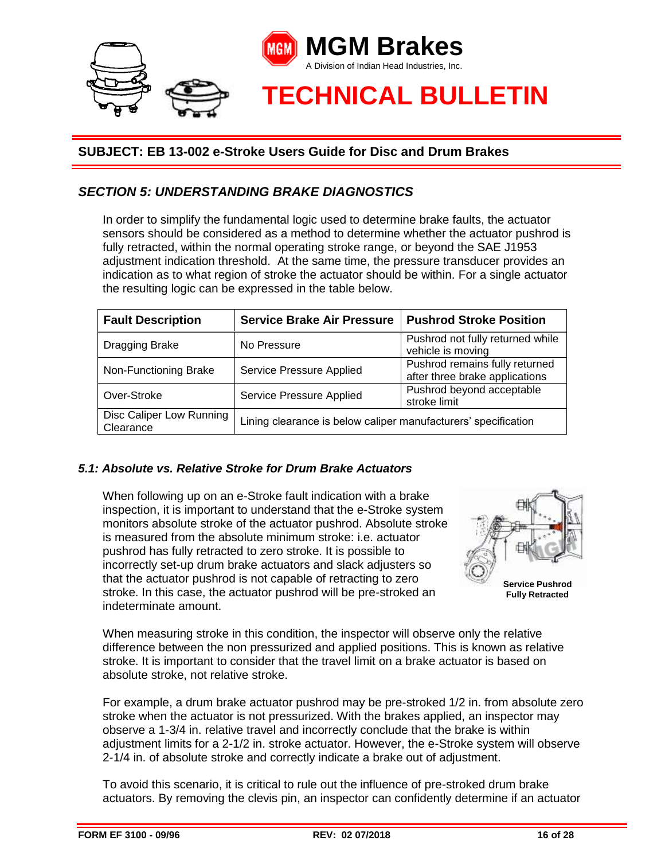

# *SECTION 5: UNDERSTANDING BRAKE DIAGNOSTICS*

In order to simplify the fundamental logic used to determine brake faults, the actuator sensors should be considered as a method to determine whether the actuator pushrod is fully retracted, within the normal operating stroke range, or beyond the SAE J1953 adjustment indication threshold. At the same time, the pressure transducer provides an indication as to what region of stroke the actuator should be within. For a single actuator the resulting logic can be expressed in the table below.

| <b>Fault Description</b>              | <b>Service Brake Air Pressure</b>                                     | <b>Pushrod Stroke Position</b>                                   |  |
|---------------------------------------|-----------------------------------------------------------------------|------------------------------------------------------------------|--|
| Dragging Brake                        | No Pressure                                                           | Pushrod not fully returned while<br>vehicle is moving            |  |
| Non-Functioning Brake                 | Service Pressure Applied                                              | Pushrod remains fully returned<br>after three brake applications |  |
| Over-Stroke                           | Pushrod beyond acceptable<br>Service Pressure Applied<br>stroke limit |                                                                  |  |
| Disc Caliper Low Running<br>Clearance | Lining clearance is below caliper manufacturers' specification        |                                                                  |  |

#### *5.1: Absolute vs. Relative Stroke for Drum Brake Actuators*

When following up on an e-Stroke fault indication with a brake inspection, it is important to understand that the e-Stroke system monitors absolute stroke of the actuator pushrod. Absolute stroke is measured from the absolute minimum stroke: i.e. actuator pushrod has fully retracted to zero stroke. It is possible to incorrectly set-up drum brake actuators and slack adjusters so that the actuator pushrod is not capable of retracting to zero stroke. In this case, the actuator pushrod will be pre-stroked an indeterminate amount.



**Service Pushrod Fully Retracted**

When measuring stroke in this condition, the inspector will observe only the relative difference between the non pressurized and applied positions. This is known as relative stroke. It is important to consider that the travel limit on a brake actuator is based on absolute stroke, not relative stroke.

For example, a drum brake actuator pushrod may be pre-stroked 1/2 in. from absolute zero stroke when the actuator is not pressurized. With the brakes applied, an inspector may observe a 1-3/4 in. relative travel and incorrectly conclude that the brake is within adjustment limits for a 2-1/2 in. stroke actuator. However, the e-Stroke system will observe 2-1/4 in. of absolute stroke and correctly indicate a brake out of adjustment.

To avoid this scenario, it is critical to rule out the influence of pre-stroked drum brake actuators. By removing the clevis pin, an inspector can confidently determine if an actuator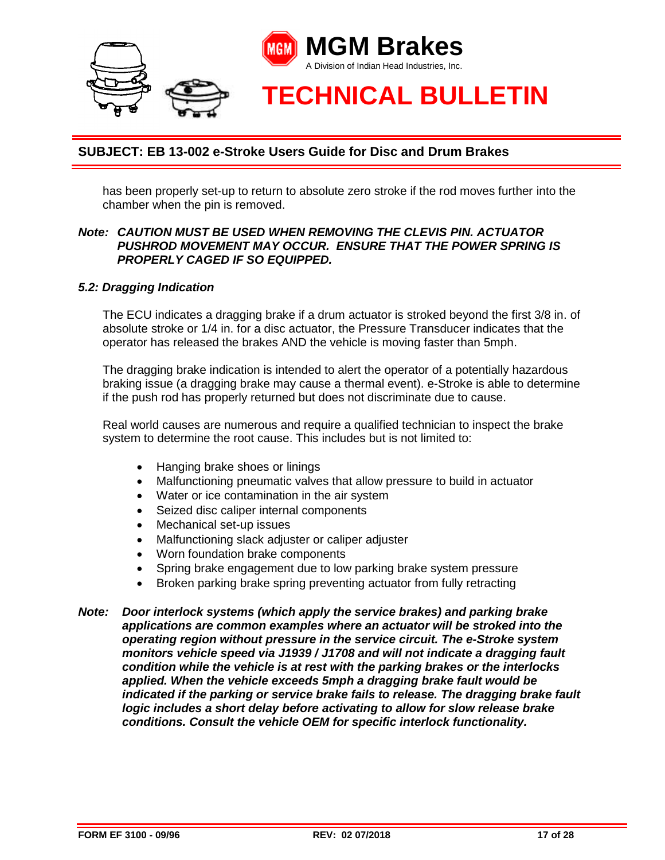

has been properly set-up to return to absolute zero stroke if the rod moves further into the chamber when the pin is removed.

#### *Note: CAUTION MUST BE USED WHEN REMOVING THE CLEVIS PIN. ACTUATOR PUSHROD MOVEMENT MAY OCCUR. ENSURE THAT THE POWER SPRING IS PROPERLY CAGED IF SO EQUIPPED.*

#### *5.2: Dragging Indication*

The ECU indicates a dragging brake if a drum actuator is stroked beyond the first 3/8 in. of absolute stroke or 1/4 in. for a disc actuator, the Pressure Transducer indicates that the operator has released the brakes AND the vehicle is moving faster than 5mph.

The dragging brake indication is intended to alert the operator of a potentially hazardous braking issue (a dragging brake may cause a thermal event). e-Stroke is able to determine if the push rod has properly returned but does not discriminate due to cause.

Real world causes are numerous and require a qualified technician to inspect the brake system to determine the root cause. This includes but is not limited to:

- Hanging brake shoes or linings
- Malfunctioning pneumatic valves that allow pressure to build in actuator
- Water or ice contamination in the air system
- Seized disc caliper internal components
- Mechanical set-up issues
- Malfunctioning slack adjuster or caliper adjuster
- Worn foundation brake components
- Spring brake engagement due to low parking brake system pressure
- Broken parking brake spring preventing actuator from fully retracting
- *Note: Door interlock systems (which apply the service brakes) and parking brake applications are common examples where an actuator will be stroked into the operating region without pressure in the service circuit. The e-Stroke system monitors vehicle speed via J1939 / J1708 and will not indicate a dragging fault condition while the vehicle is at rest with the parking brakes or the interlocks applied. When the vehicle exceeds 5mph a dragging brake fault would be indicated if the parking or service brake fails to release. The dragging brake fault logic includes a short delay before activating to allow for slow release brake conditions. Consult the vehicle OEM for specific interlock functionality.*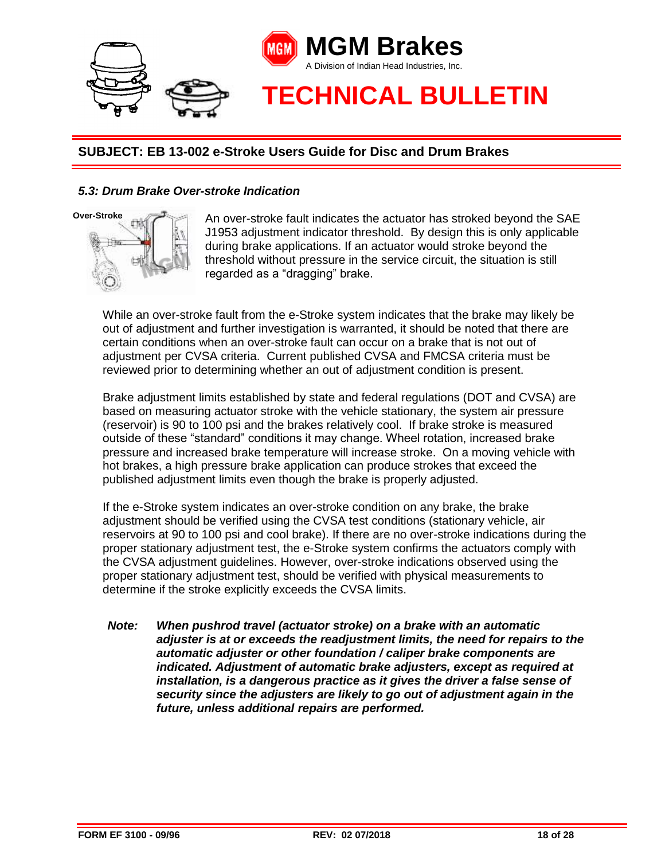

#### *5.3: Drum Brake Over-stroke Indication*



An over-stroke fault indicates the actuator has stroked beyond the SAE J1953 adjustment indicator threshold. By design this is only applicable during brake applications. If an actuator would stroke beyond the threshold without pressure in the service circuit, the situation is still regarded as a "dragging" brake.

While an over-stroke fault from the e-Stroke system indicates that the brake may likely be out of adjustment and further investigation is warranted, it should be noted that there are certain conditions when an over-stroke fault can occur on a brake that is not out of adjustment per CVSA criteria. Current published CVSA and FMCSA criteria must be reviewed prior to determining whether an out of adjustment condition is present.

Brake adjustment limits established by state and federal regulations (DOT and CVSA) are based on measuring actuator stroke with the vehicle stationary, the system air pressure (reservoir) is 90 to 100 psi and the brakes relatively cool. If brake stroke is measured outside of these "standard" conditions it may change. Wheel rotation, increased brake pressure and increased brake temperature will increase stroke. On a moving vehicle with hot brakes, a high pressure brake application can produce strokes that exceed the published adjustment limits even though the brake is properly adjusted.

If the e-Stroke system indicates an over-stroke condition on any brake, the brake adjustment should be verified using the CVSA test conditions (stationary vehicle, air reservoirs at 90 to 100 psi and cool brake). If there are no over-stroke indications during the proper stationary adjustment test, the e-Stroke system confirms the actuators comply with the CVSA adjustment guidelines. However, over-stroke indications observed using the proper stationary adjustment test, should be verified with physical measurements to determine if the stroke explicitly exceeds the CVSA limits.

*Note: When pushrod travel (actuator stroke) on a brake with an automatic adjuster is at or exceeds the readjustment limits, the need for repairs to the automatic adjuster or other foundation / caliper brake components are indicated. Adjustment of automatic brake adjusters, except as required at installation, is a dangerous practice as it gives the driver a false sense of security since the adjusters are likely to go out of adjustment again in the future, unless additional repairs are performed.*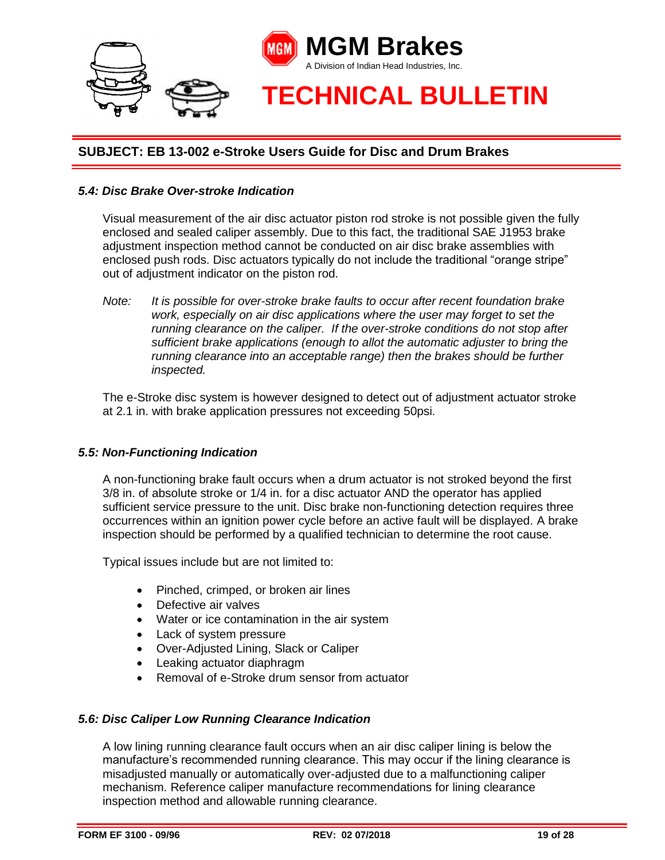

#### *5.4: Disc Brake Over-stroke Indication*

Visual measurement of the air disc actuator piston rod stroke is not possible given the fully enclosed and sealed caliper assembly. Due to this fact, the traditional SAE J1953 brake adjustment inspection method cannot be conducted on air disc brake assemblies with enclosed push rods. Disc actuators typically do not include the traditional "orange stripe" out of adjustment indicator on the piston rod.

*Note: It is possible for over-stroke brake faults to occur after recent foundation brake work, especially on air disc applications where the user may forget to set the running clearance on the caliper. If the over-stroke conditions do not stop after sufficient brake applications (enough to allot the automatic adjuster to bring the running clearance into an acceptable range) then the brakes should be further inspected.* 

The e-Stroke disc system is however designed to detect out of adjustment actuator stroke at 2.1 in. with brake application pressures not exceeding 50psi.

#### *5.5: Non-Functioning Indication*

A non-functioning brake fault occurs when a drum actuator is not stroked beyond the first 3/8 in. of absolute stroke or 1/4 in. for a disc actuator AND the operator has applied sufficient service pressure to the unit. Disc brake non-functioning detection requires three occurrences within an ignition power cycle before an active fault will be displayed. A brake inspection should be performed by a qualified technician to determine the root cause.

Typical issues include but are not limited to:

- Pinched, crimped, or broken air lines
- Defective air valves
- Water or ice contamination in the air system
- Lack of system pressure
- Over-Adjusted Lining, Slack or Caliper
- Leaking actuator diaphragm
- Removal of e-Stroke drum sensor from actuator

#### *5.6: Disc Caliper Low Running Clearance Indication*

A low lining running clearance fault occurs when an air disc caliper lining is below the manufacture's recommended running clearance. This may occur if the lining clearance is misadjusted manually or automatically over-adjusted due to a malfunctioning caliper mechanism. Reference caliper manufacture recommendations for lining clearance inspection method and allowable running clearance.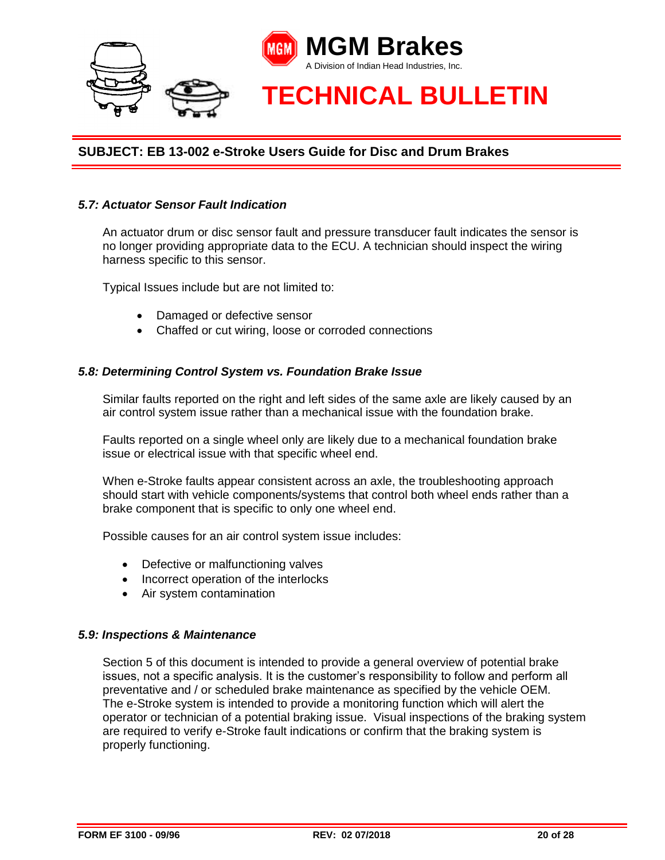

#### *5.7: Actuator Sensor Fault Indication*

An actuator drum or disc sensor fault and pressure transducer fault indicates the sensor is no longer providing appropriate data to the ECU. A technician should inspect the wiring harness specific to this sensor.

Typical Issues include but are not limited to:

- Damaged or defective sensor
- Chaffed or cut wiring, loose or corroded connections

#### *5.8: Determining Control System vs. Foundation Brake Issue*

Similar faults reported on the right and left sides of the same axle are likely caused by an air control system issue rather than a mechanical issue with the foundation brake.

Faults reported on a single wheel only are likely due to a mechanical foundation brake issue or electrical issue with that specific wheel end.

When e-Stroke faults appear consistent across an axle, the troubleshooting approach should start with vehicle components/systems that control both wheel ends rather than a brake component that is specific to only one wheel end.

Possible causes for an air control system issue includes:

- Defective or malfunctioning valves
- Incorrect operation of the interlocks
- Air system contamination

#### *5.9: Inspections & Maintenance*

Section 5 of this document is intended to provide a general overview of potential brake issues, not a specific analysis. It is the customer's responsibility to follow and perform all preventative and / or scheduled brake maintenance as specified by the vehicle OEM. The e-Stroke system is intended to provide a monitoring function which will alert the operator or technician of a potential braking issue. Visual inspections of the braking system are required to verify e-Stroke fault indications or confirm that the braking system is properly functioning.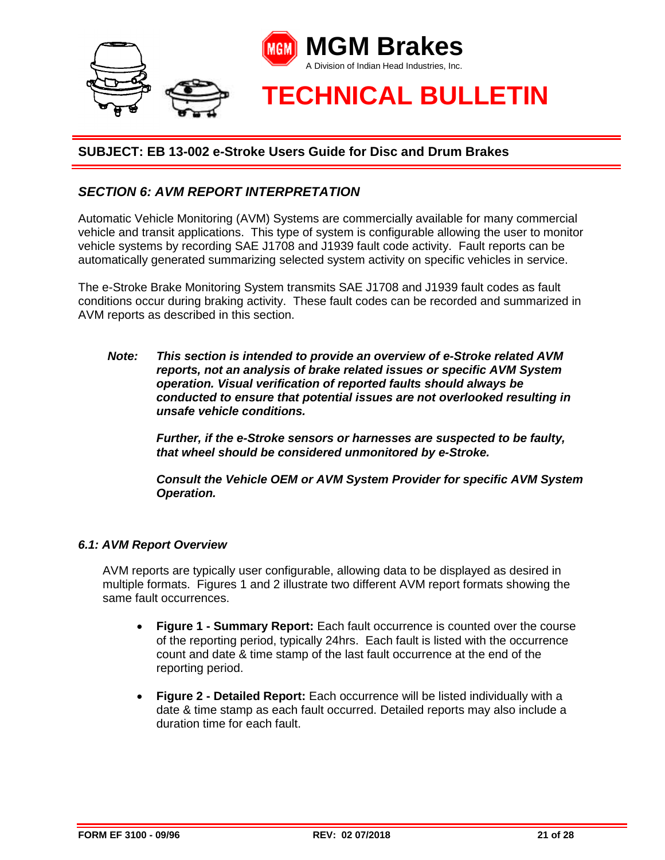

# *SECTION 6: AVM REPORT INTERPRETATION*

Automatic Vehicle Monitoring (AVM) Systems are commercially available for many commercial vehicle and transit applications. This type of system is configurable allowing the user to monitor vehicle systems by recording SAE J1708 and J1939 fault code activity. Fault reports can be automatically generated summarizing selected system activity on specific vehicles in service.

The e-Stroke Brake Monitoring System transmits SAE J1708 and J1939 fault codes as fault conditions occur during braking activity. These fault codes can be recorded and summarized in AVM reports as described in this section.

*Note: This section is intended to provide an overview of e-Stroke related AVM reports, not an analysis of brake related issues or specific AVM System operation. Visual verification of reported faults should always be conducted to ensure that potential issues are not overlooked resulting in unsafe vehicle conditions.* 

> *Further, if the e-Stroke sensors or harnesses are suspected to be faulty, that wheel should be considered unmonitored by e-Stroke.*

*Consult the Vehicle OEM or AVM System Provider for specific AVM System Operation.*

#### *6.1: AVM Report Overview*

AVM reports are typically user configurable, allowing data to be displayed as desired in multiple formats. Figures 1 and 2 illustrate two different AVM report formats showing the same fault occurrences.

- **Figure 1 - Summary Report:** Each fault occurrence is counted over the course of the reporting period, typically 24hrs. Each fault is listed with the occurrence count and date & time stamp of the last fault occurrence at the end of the reporting period.
- **Figure 2 - Detailed Report:** Each occurrence will be listed individually with a date & time stamp as each fault occurred. Detailed reports may also include a duration time for each fault.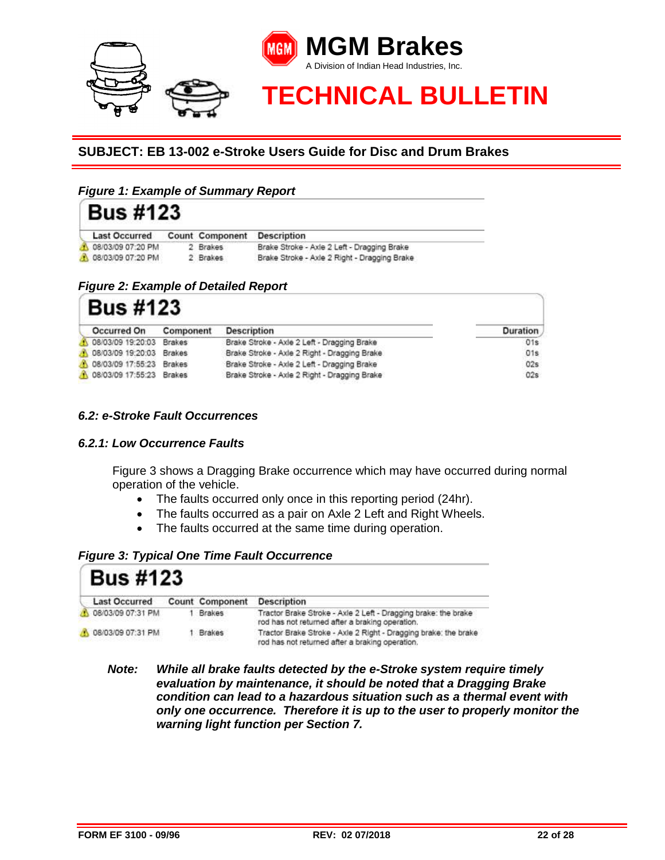

## *Figure 1: Example of Summary Report*

| <b>Bus #123</b>      |                 |                                              |  |
|----------------------|-----------------|----------------------------------------------|--|
| <b>Last Occurred</b> | Count Component | <b>Description</b>                           |  |
| 08/03/09 07:20 PM    | 2 Brakes        | Brake Stroke - Axle 2 Left - Dragging Brake  |  |
| 08/03/09 07:20 PM    | 2 Brakes        | Brake Stroke - Axle 2 Right - Dragging Brake |  |

#### *Figure 2: Example of Detailed Report*

| <b>Bus #123</b>          |               |                                              |                 |  |  |
|--------------------------|---------------|----------------------------------------------|-----------------|--|--|
| Occurred On              | Component     | <b>Description</b>                           | <b>Duration</b> |  |  |
| 08/03/09 19:20:03        | <b>Brakes</b> | Brake Stroke - Axle 2 Left - Dragging Brake  | 01s             |  |  |
| 08/03/09 19:20:03        | <b>Brakes</b> | Brake Stroke - Axle 2 Right - Dragging Brake | 01s             |  |  |
| 08/03/09 17:55:23        | Brakes        | Brake Stroke - Axle 2 Left - Dragging Brake  | 02s             |  |  |
| 08/03/09 17:55:23 Brakes |               | Brake Stroke - Axle 2 Right - Dragging Brake | 02s             |  |  |

## *6.2: e-Stroke Fault Occurrences*

#### *6.2.1: Low Occurrence Faults*

Figure 3 shows a Dragging Brake occurrence which may have occurred during normal operation of the vehicle.

- The faults occurred only once in this reporting period (24hr).
- The faults occurred as a pair on Axle 2 Left and Right Wheels.
- The faults occurred at the same time during operation.

#### *Figure 3: Typical One Time Fault Occurrence*

| <b>Bus #123</b>      |                                            |                                                                                                                    |
|----------------------|--------------------------------------------|--------------------------------------------------------------------------------------------------------------------|
| <b>Last Occurred</b> | Count Component                            | <b>Description</b>                                                                                                 |
| 31 PM                | <b>Brakes</b><br>CALL THE PIRE & REPORT OF | Tractor Brake Stroke - Axle 2 Left - Dragging brake: the brake<br>rod has not returned after a braking operation.  |
| 08/03/09 07:31 PM    | <b>Brakes</b><br>An East State County      | Tractor Brake Stroke - Axle 2 Right - Dragging brake: the brake<br>rod has not returned after a braking operation. |

*Note: While all brake faults detected by the e-Stroke system require timely evaluation by maintenance, it should be noted that a Dragging Brake condition can lead to a hazardous situation such as a thermal event with only one occurrence. Therefore it is up to the user to properly monitor the warning light function per Section 7.*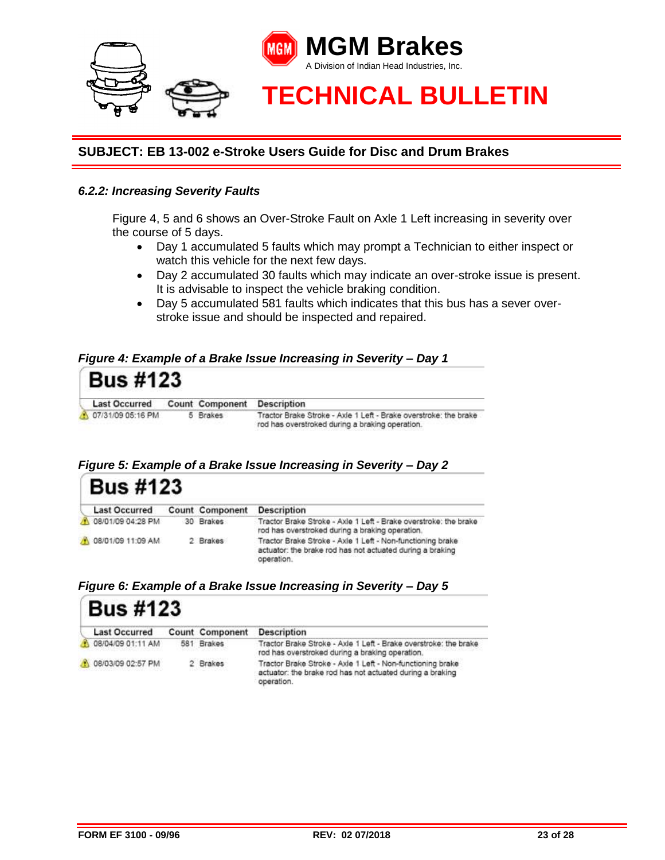

#### *6.2.2: Increasing Severity Faults*

Figure 4, 5 and 6 shows an Over-Stroke Fault on Axle 1 Left increasing in severity over the course of 5 days.

- Day 1 accumulated 5 faults which may prompt a Technician to either inspect or watch this vehicle for the next few days.
- Day 2 accumulated 30 faults which may indicate an over-stroke issue is present. It is advisable to inspect the vehicle braking condition.
- Day 5 accumulated 581 faults which indicates that this bus has a sever overstroke issue and should be inspected and repaired.

#### *Figure 4: Example of a Brake Issue Increasing in Severity – Day 1*



#### *Figure 5: Example of a Brake Issue Increasing in Severity – Day 2*

| <b>Bus #123</b>      |  |                        |                                                                                                                                       |  |  |
|----------------------|--|------------------------|---------------------------------------------------------------------------------------------------------------------------------------|--|--|
| <b>Last Occurred</b> |  | <b>Count Component</b> | <b>Description</b>                                                                                                                    |  |  |
| 08/01/09 04:28 PM    |  | 30 Brakes              | Tractor Brake Stroke - Axie 1 Left - Brake overstroke: the brake<br>rod has overstroked during a braking operation.                   |  |  |
| A 08/01/09 11:09 AM  |  | 2 Brakes               | Tractor Brake Stroke - Axle 1 Left - Non-functioning brake<br>actuator: the brake rod has not actuated during a braking<br>operation. |  |  |

#### *Figure 6: Example of a Brake Issue Increasing in Severity – Day 5*

| $BUS \frac{\pi}{4}$  |  |                                        |                                                                                                                                       |  |  |
|----------------------|--|----------------------------------------|---------------------------------------------------------------------------------------------------------------------------------------|--|--|
| <b>Last Occurred</b> |  | Count Component                        | <b>Description</b>                                                                                                                    |  |  |
| 08/04/09 01:11 AM    |  | 581 Brakes                             | Tractor Brake Stroke - Axle 1 Left - Brake overstroke: the brake<br>rod has overstroked during a braking operation.                   |  |  |
| 08/03/09 02:57 PM    |  | 2 Brakes<br>California Constitution of | Tractor Brake Stroke - Axie 1 Left - Non-functioning brake<br>actuator: the brake rod has not actuated during a braking<br>operation. |  |  |

 $D_{112}$   $HAD2$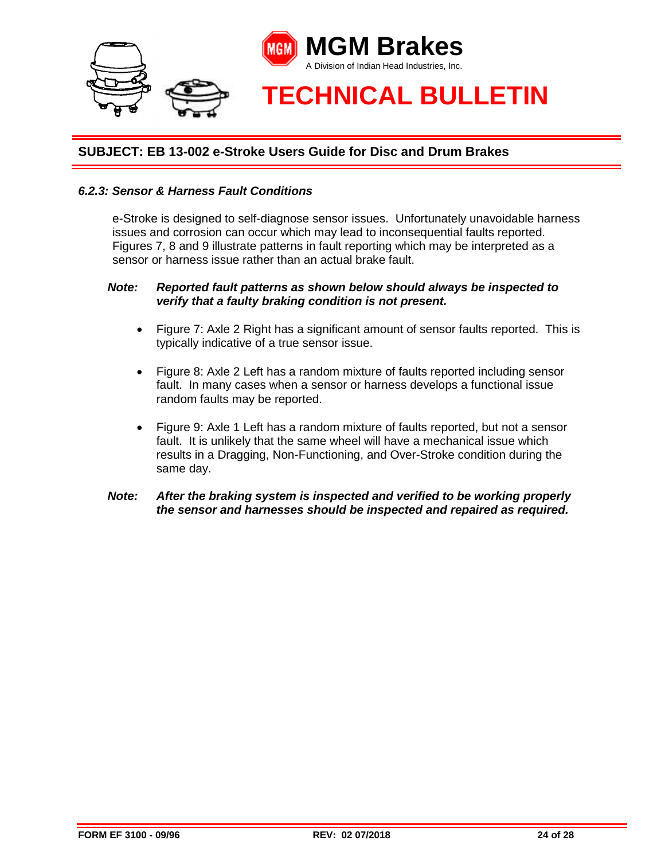

#### *6.2.3: Sensor & Harness Fault Conditions*

e-Stroke is designed to self-diagnose sensor issues. Unfortunately unavoidable harness issues and corrosion can occur which may lead to inconsequential faults reported. Figures 7, 8 and 9 illustrate patterns in fault reporting which may be interpreted as a sensor or harness issue rather than an actual brake fault.

#### *Note: Reported fault patterns as shown below should always be inspected to verify that a faulty braking condition is not present.*

- Figure 7: Axle 2 Right has a significant amount of sensor faults reported. This is typically indicative of a true sensor issue.
- Figure 8: Axle 2 Left has a random mixture of faults reported including sensor fault. In many cases when a sensor or harness develops a functional issue random faults may be reported.
- Figure 9: Axle 1 Left has a random mixture of faults reported, but not a sensor fault. It is unlikely that the same wheel will have a mechanical issue which results in a Dragging, Non-Functioning, and Over-Stroke condition during the same day.

#### *Note: After the braking system is inspected and verified to be working properly the sensor and harnesses should be inspected and repaired as required.*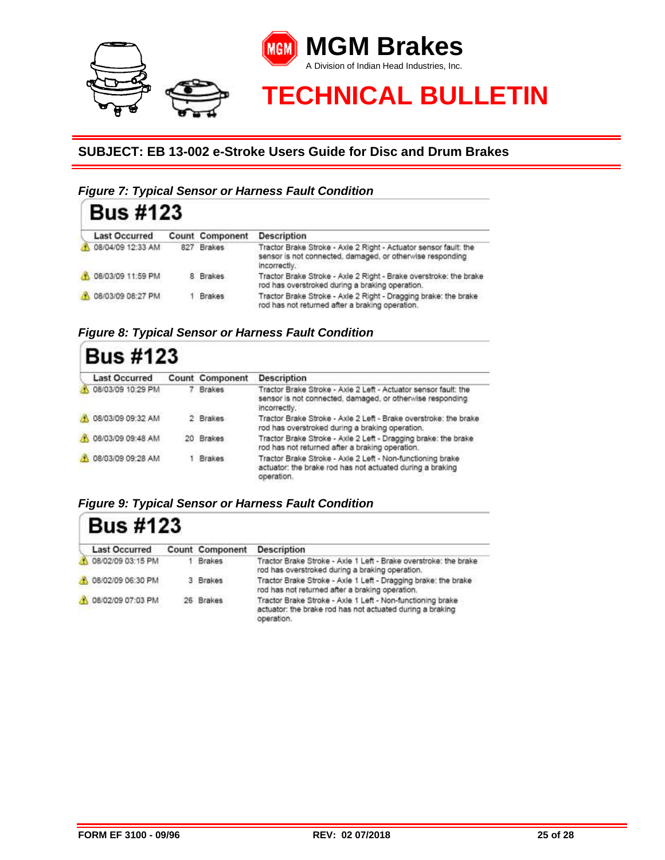

# *Figure 7: Typical Sensor or Harness Fault Condition*

| <b>Bus #123</b>      |     |                 |                                                                                                                                               |
|----------------------|-----|-----------------|-----------------------------------------------------------------------------------------------------------------------------------------------|
| <b>Last Occurred</b> |     | Count Component | <b>Description</b>                                                                                                                            |
| 08/04/09 12:33 AM    | 827 | <b>Brakes</b>   | Tractor Brake Stroke - Axie 2 Right - Actuator sensor fault: the<br>sensor is not connected, damaged, or otherwise responding<br>incorrectly. |
| A 08/03/09 11:59 PM  |     | 8 Brakes        | Tractor Brake Stroke - Axle 2 Right - Brake overstroke: the brake<br>rod has overstroked during a braking operation.                          |
| 08/03/09 08:27 PM    |     | Brakes          | Tractor Brake Stroke - Axle 2 Right - Dragging brake: the brake<br>rod has not returned after a braking operation.                            |

*Figure 8: Typical Sensor or Harness Fault Condition*

| <b>Bus #123</b><br><b>Description</b><br><b>Last Occurred</b><br>Count Component |  |               |                                                                                                                                              |  |
|----------------------------------------------------------------------------------|--|---------------|----------------------------------------------------------------------------------------------------------------------------------------------|--|
| 08/03/09 10:29 PM                                                                |  | <b>Brakes</b> | Tractor Brake Stroke - Axle 2 Left - Actuator sensor fault; the<br>sensor is not connected, damaged, or otherwise responding<br>incorrectly. |  |
| 08/03/09 09:32 AM                                                                |  | 2 Brakes      | Tractor Brake Stroke - Axle 2 Left - Brake overstroke: the brake<br>rod has overstroked during a braking operation.                          |  |
| 08/03/09 09:48 AM                                                                |  | 20 Brakes     | Tractor Brake Stroke - Axle 2 Left - Dragging brake: the brake<br>rod has not returned after a braking operation.                            |  |
| 08/03/09 09:28 AM                                                                |  | <b>Brakes</b> | Tractor Brake Stroke - Axle 2 Left - Non-functioning brake<br>actuator: the brake rod has not actuated during a braking<br>operation.        |  |

*Figure 9: Typical Sensor or Harness Fault Condition*

# **Bus #123**

| <b>Last Occurred</b> | Count Component | <b>Description</b>                                                                                                                    |
|----------------------|-----------------|---------------------------------------------------------------------------------------------------------------------------------------|
| 08/02/09 03:15 PM    | 1 Brakes        | Tractor Brake Stroke - Axle 1 Left - Brake overstroke: the brake<br>rod has overstroked during a braking operation.                   |
| A 08/02/09 06:30 PM  | 3 Brakes        | Tractor Brake Stroke - Axle 1 Left - Dragging brake: the brake<br>rod has not returned after a braking operation.                     |
| A 08/02/09 07:03 PM  | 26 Brakes       | Tractor Brake Stroke - Axle 1 Left - Non-functioning brake<br>actuator: the brake rod has not actuated during a braking<br>operation. |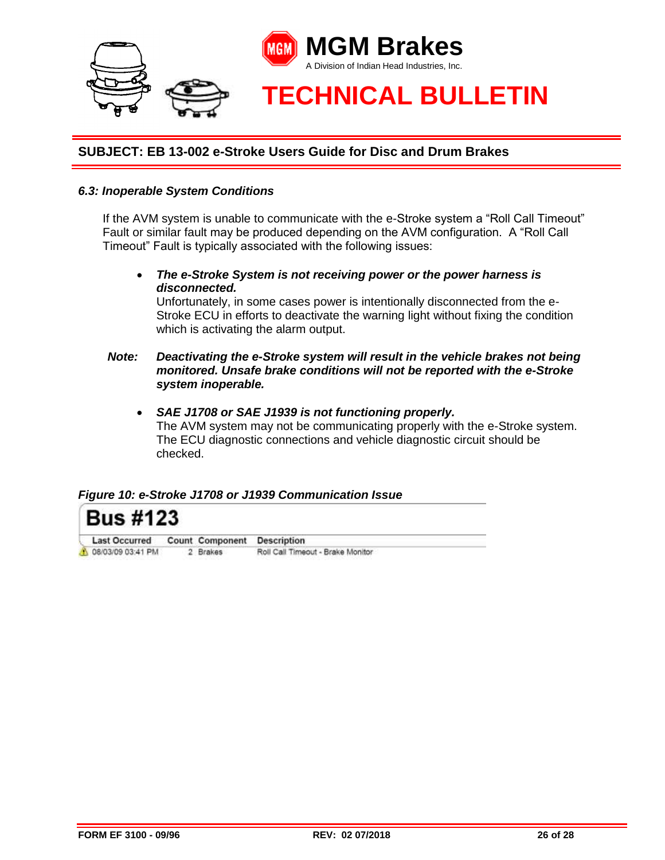

#### *6.3: Inoperable System Conditions*

If the AVM system is unable to communicate with the e-Stroke system a "Roll Call Timeout" Fault or similar fault may be produced depending on the AVM configuration. A "Roll Call Timeout" Fault is typically associated with the following issues:

 *The e-Stroke System is not receiving power or the power harness is disconnected.* 

Unfortunately, in some cases power is intentionally disconnected from the e-Stroke ECU in efforts to deactivate the warning light without fixing the condition which is activating the alarm output.

#### *Note: Deactivating the e-Stroke system will result in the vehicle brakes not being monitored. Unsafe brake conditions will not be reported with the e-Stroke system inoperable.*

 *SAE J1708 or SAE J1939 is not functioning properly.*  The AVM system may not be communicating properly with the e-Stroke system. The ECU diagnostic connections and vehicle diagnostic circuit should be checked.

#### *Figure 10: e-Stroke J1708 or J1939 Communication Issue*

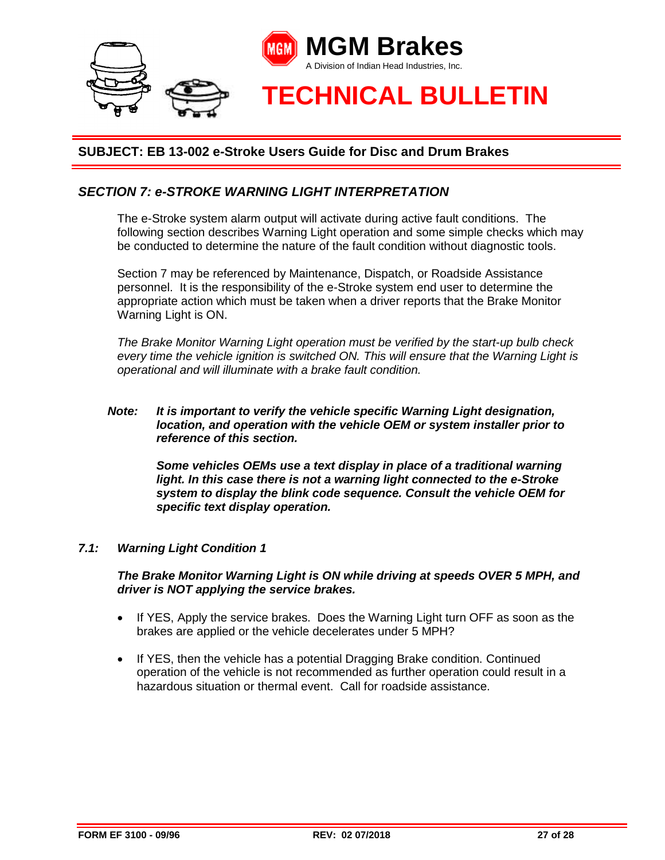

# *SECTION 7: e-STROKE WARNING LIGHT INTERPRETATION*

The e-Stroke system alarm output will activate during active fault conditions. The following section describes Warning Light operation and some simple checks which may be conducted to determine the nature of the fault condition without diagnostic tools.

Section 7 may be referenced by Maintenance, Dispatch, or Roadside Assistance personnel. It is the responsibility of the e-Stroke system end user to determine the appropriate action which must be taken when a driver reports that the Brake Monitor Warning Light is ON.

*The Brake Monitor Warning Light operation must be verified by the start-up bulb check every time the vehicle ignition is switched ON. This will ensure that the Warning Light is operational and will illuminate with a brake fault condition.* 

#### *Note: It is important to verify the vehicle specific Warning Light designation, location, and operation with the vehicle OEM or system installer prior to reference of this section.*

*Some vehicles OEMs use a text display in place of a traditional warning*  light. In this case there is not a warning light connected to the e-Stroke *system to display the blink code sequence. Consult the vehicle OEM for specific text display operation.*

#### *7.1: Warning Light Condition 1*

*The Brake Monitor Warning Light is ON while driving at speeds OVER 5 MPH, and driver is NOT applying the service brakes.*

- If YES, Apply the service brakes. Does the Warning Light turn OFF as soon as the brakes are applied or the vehicle decelerates under 5 MPH?
- If YES, then the vehicle has a potential Dragging Brake condition. Continued operation of the vehicle is not recommended as further operation could result in a hazardous situation or thermal event. Call for roadside assistance.